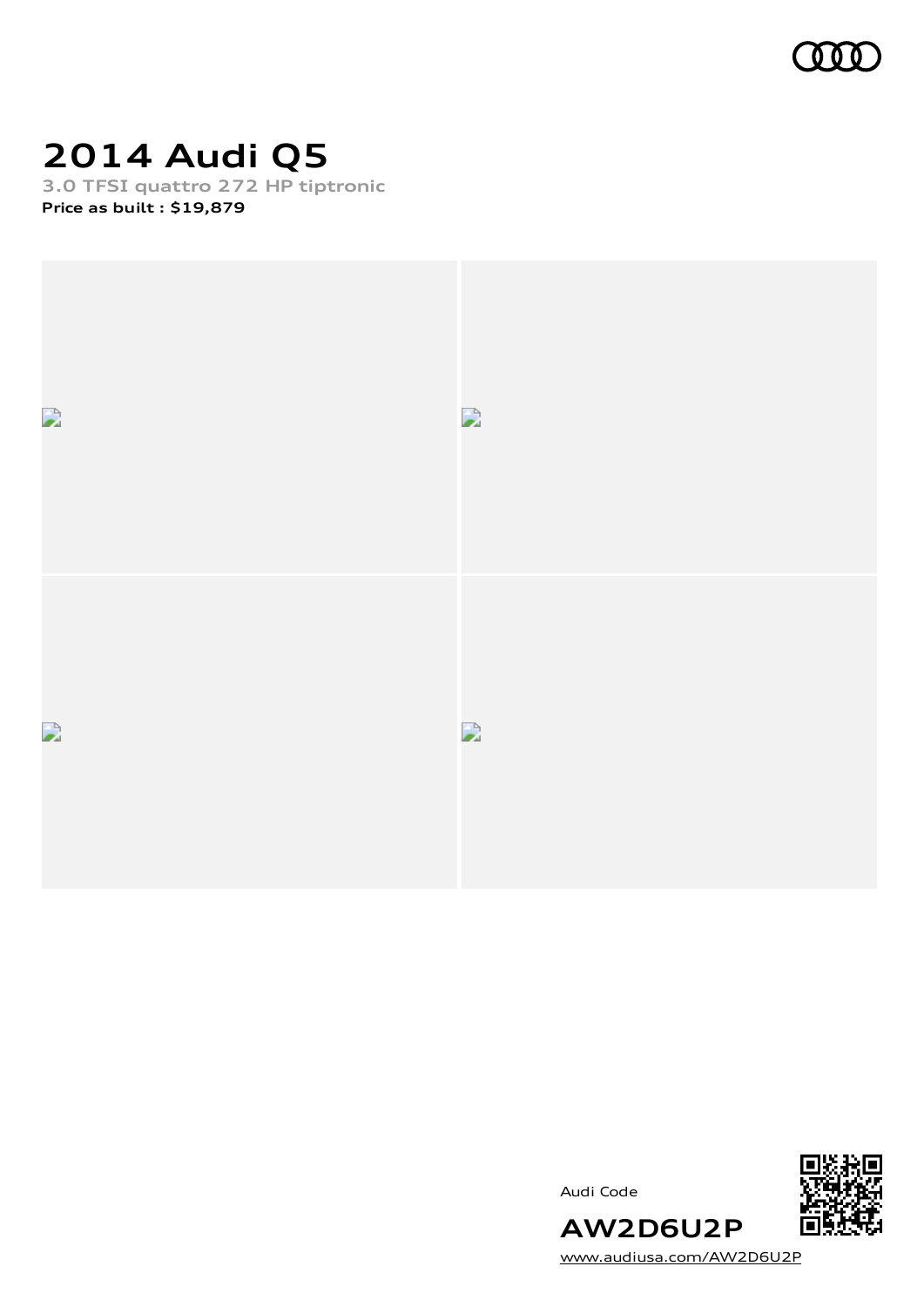

### **2014 Audi Q5**

**3.0 TFSI quattro 272 HP tiptronic Price as built [:](#page-10-0) \$19,879**



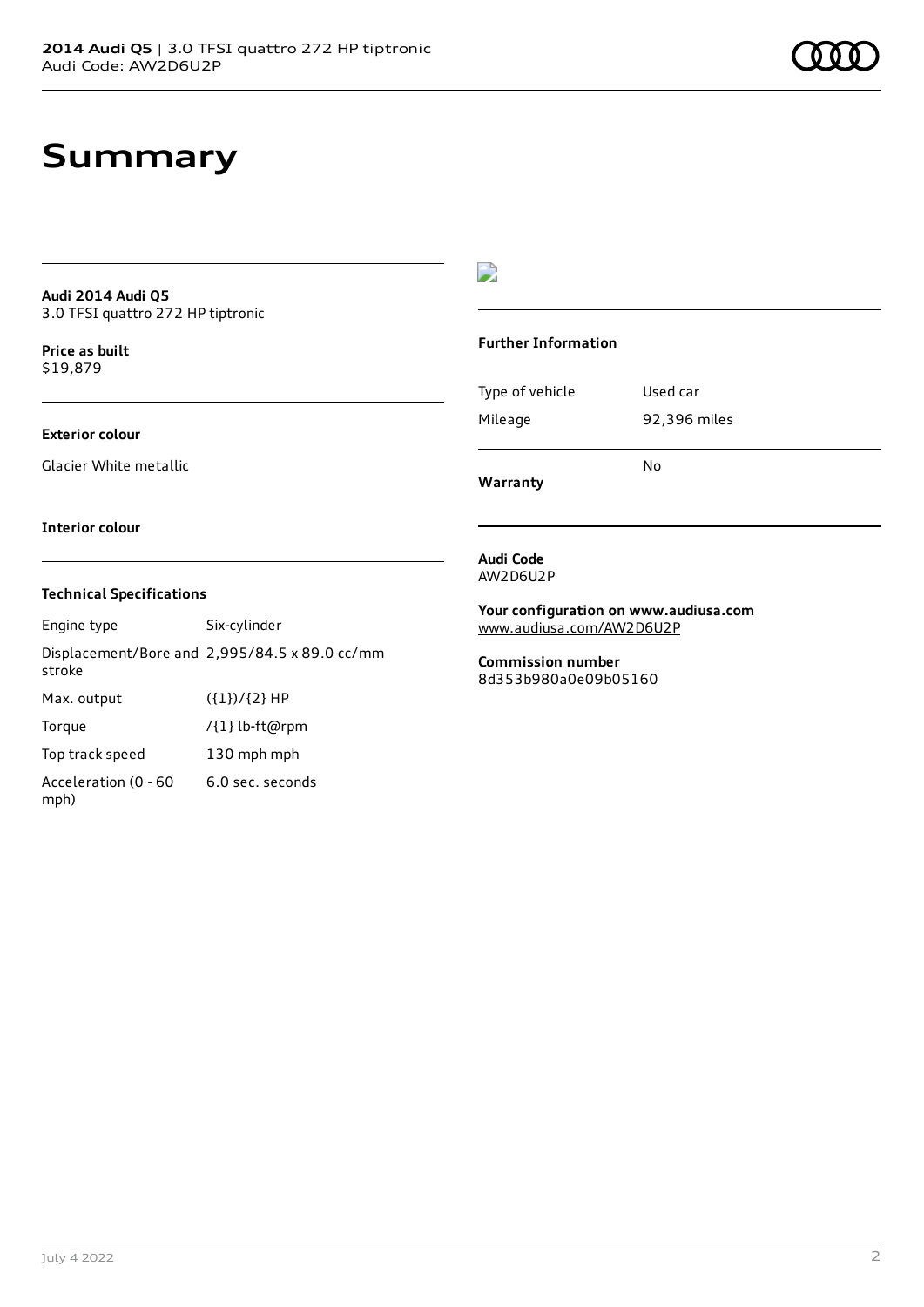### **Summary**

#### **Audi 2014 Audi Q5** 3.0 TFSI quattro 272 HP tiptronic

**Price as buil[t](#page-10-0)** \$19,879

### **Exterior colour**

Glacier White metallic

### D

#### **Further Information**

|                 | N٥           |
|-----------------|--------------|
| Mileage         | 92,396 miles |
| Type of vehicle | Used car     |

**Warranty**

#### **Interior colour**

### **Technical Specifications**

Engine type Six-cylinder Displacement/Bore and 2,995/84.5 x 89.0 cc/mm stroke Max. output  $({1})/{2}$  HP Torque /{1} lb-ft@rpm Top track speed 130 mph mph Acceleration (0 - 60 mph) 6.0 sec. seconds

**Audi Code** AW2D6U2P

**Your configuration on www.audiusa.com** [www.audiusa.com/AW2D6U2P](https://www.audiusa.com/AW2D6U2P)

**Commission number** 8d353b980a0e09b05160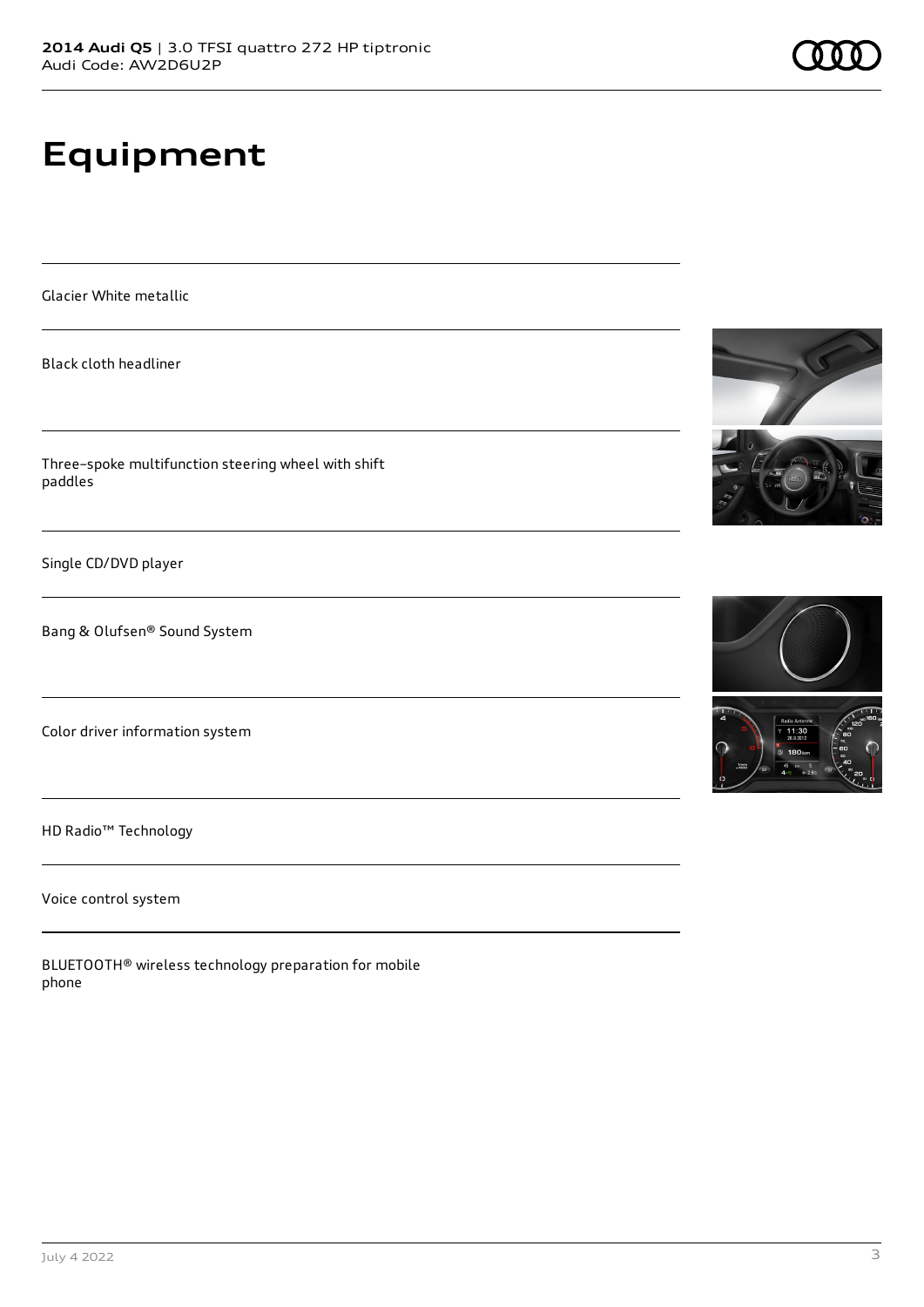## **Equipment**

Glacier White metallic

Black cloth headliner

Three–spoke multifunction steering wheel with shift paddles

Single CD/DVD player

Bang & Olufsen® Sound System

Color driver information system

HD Radio™ Technology

Voice control system

BLUETOOTH® wireless technology preparation for mobile phone









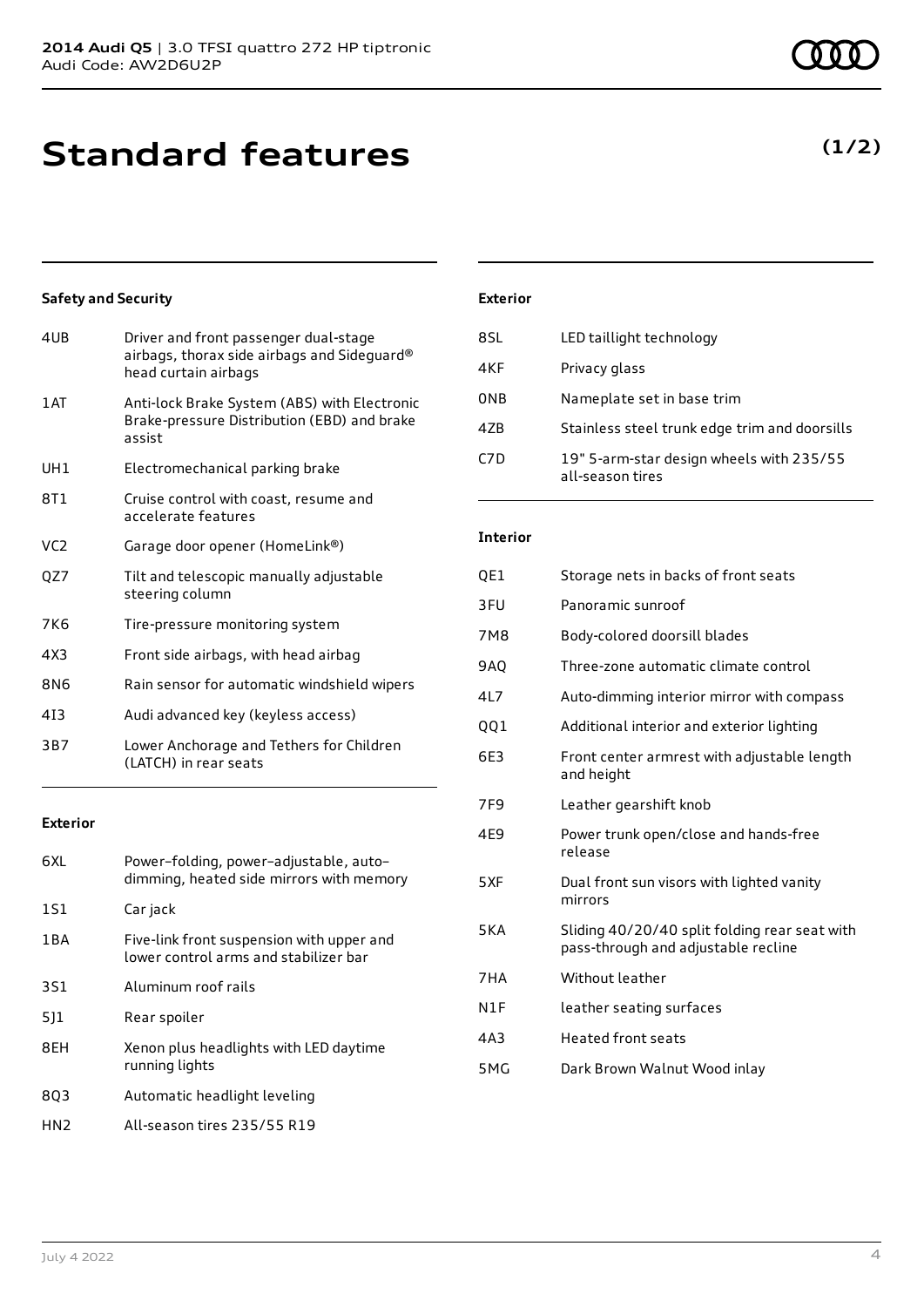### **Standard features**

### **Safety and Security**

| 4UB             | Driver and front passenger dual-stage<br>airbags, thorax side airbags and Sideguard®<br>head curtain airbags |
|-----------------|--------------------------------------------------------------------------------------------------------------|
| 1AT             | Anti-lock Brake System (ABS) with Electronic<br>Brake-pressure Distribution (EBD) and brake<br>assist        |
| UH1             | Electromechanical parking brake                                                                              |
| 8T1             | Cruise control with coast, resume and<br>accelerate features                                                 |
| VC <sub>2</sub> | Garage door opener (HomeLink®)                                                                               |
| QZ7             | Tilt and telescopic manually adjustable<br>steering column                                                   |
| 7K <sub>6</sub> | Tire-pressure monitoring system                                                                              |
| 4X3             | Front side airbags, with head airbag                                                                         |
| 8N6             | Rain sensor for automatic windshield wipers                                                                  |
| 413             | Audi advanced key (keyless access)                                                                           |
| 3B7             | Lower Anchorage and Tethers for Children<br>(LATCH) in rear seats                                            |
|                 |                                                                                                              |

### **Exterior**

| 6XL   | Power-folding, power-adjustable, auto-<br>dimming, heated side mirrors with memory |
|-------|------------------------------------------------------------------------------------|
| 1S1   | Car jack                                                                           |
| 1 B A | Five-link front suspension with upper and<br>lower control arms and stabilizer bar |
| 3S1   | Aluminum roof rails                                                                |
| 511   | Rear spoiler                                                                       |
| 8FH   | Xenon plus headlights with LED daytime<br>running lights                           |
| 803   | Automatic headlight leveling                                                       |
| HN2   | All-season tires 235/55 R19                                                        |

### **Exterior**

| 8SL | LED taillight technology                                     |
|-----|--------------------------------------------------------------|
| 4KF | Privacy glass                                                |
| 0NB | Nameplate set in base trim                                   |
| 4ZB | Stainless steel trunk edge trim and doorsills                |
| C7D | 19" 5-arm-star design wheels with 235/55<br>all-season tires |

### **Interior**

| QE1             | Storage nets in backs of front seats                                                 |
|-----------------|--------------------------------------------------------------------------------------|
| 3FU             | Panoramic sunroof                                                                    |
| 7M8             | Body-colored doorsill blades                                                         |
| <b>9AO</b>      | Three-zone automatic climate control                                                 |
| 4L7             | Auto-dimming interior mirror with compass                                            |
| QQ1             | Additional interior and exterior lighting                                            |
| 6E3             | Front center armrest with adjustable length<br>and height                            |
| 7F <sub>9</sub> | Leather gearshift knob                                                               |
| 4E9             | Power trunk open/close and hands-free<br>release                                     |
| 5XF             | Dual front sun visors with lighted vanity<br>mirrors                                 |
| 5KA             | Sliding 40/20/40 split folding rear seat with<br>pass-through and adjustable recline |
| 7HA             | Without leather                                                                      |
| N1F             | leather seating surfaces                                                             |
| 4A3             | <b>Heated front seats</b>                                                            |
| 5MG             | Dark Brown Walnut Wood inlay                                                         |
|                 |                                                                                      |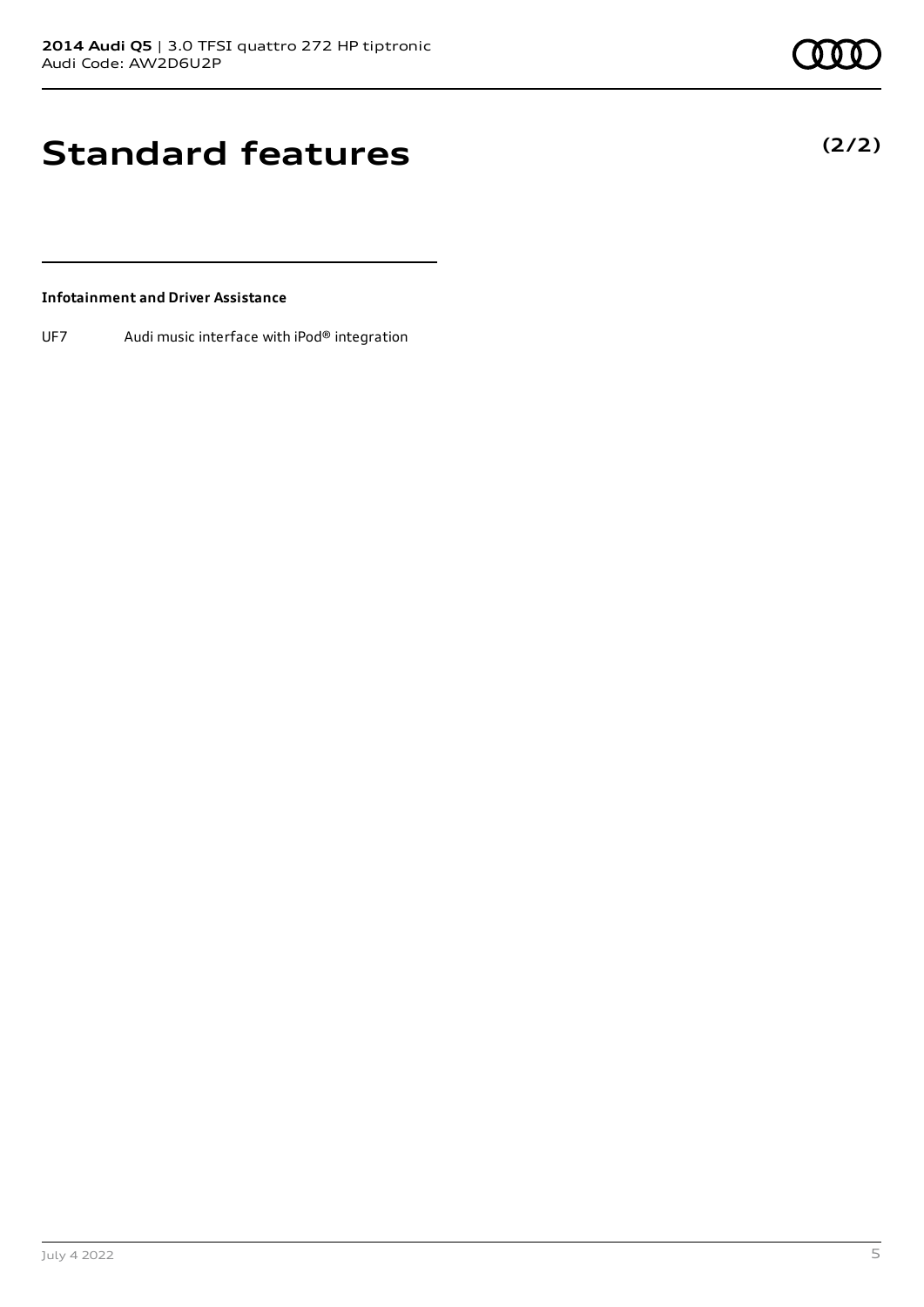**(2/2)**

# **Standard features**

### **Infotainment and Driver Assistance**

UF7 Audi music interface with iPod® integration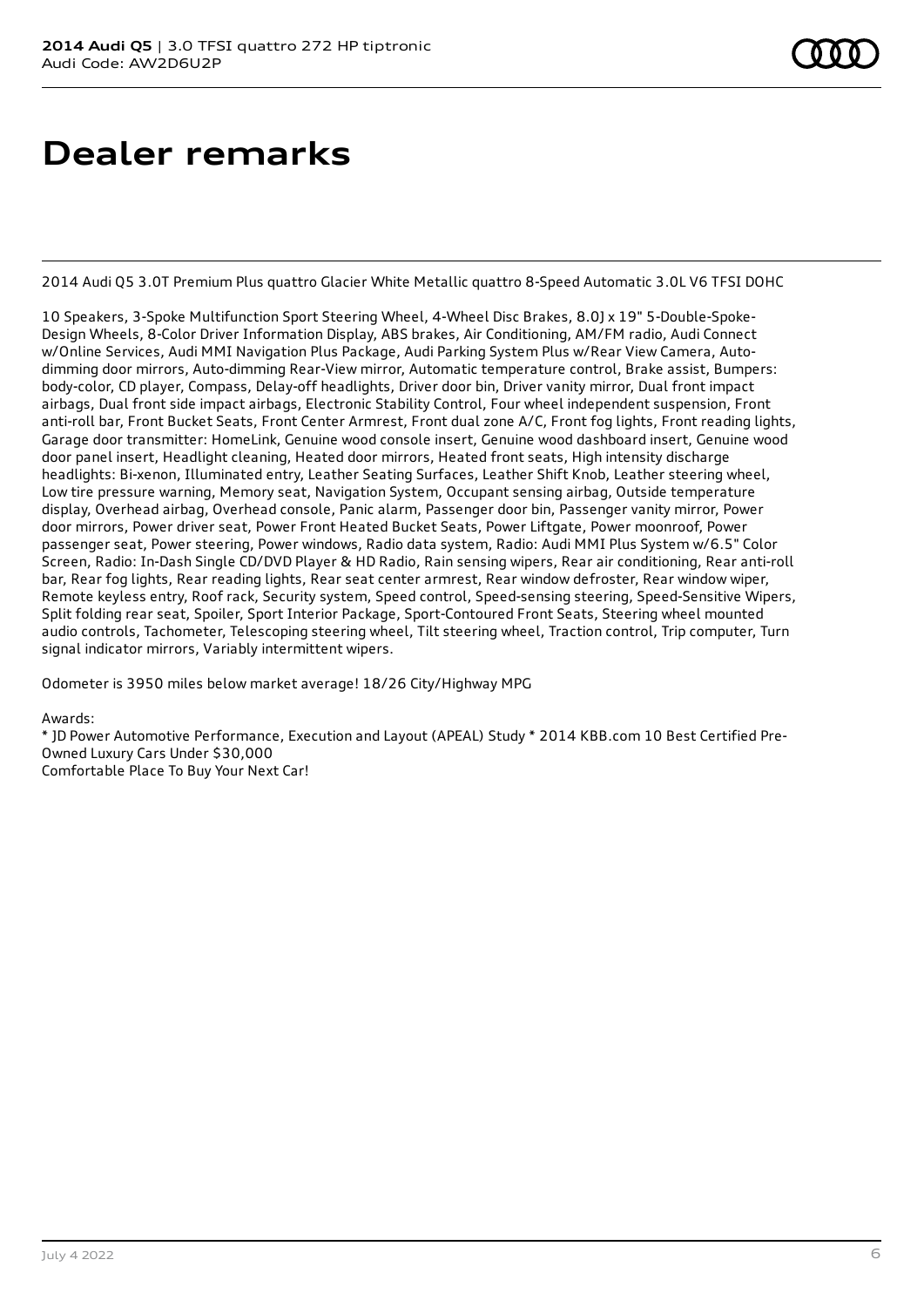### **Dealer remarks**

2014 Audi Q5 3.0T Premium Plus quattro Glacier White Metallic quattro 8-Speed Automatic 3.0L V6 TFSI DOHC

10 Speakers, 3-Spoke Multifunction Sport Steering Wheel, 4-Wheel Disc Brakes, 8.0J x 19" 5-Double-Spoke-Design Wheels, 8-Color Driver Information Display, ABS brakes, Air Conditioning, AM/FM radio, Audi Connect w/Online Services, Audi MMI Navigation Plus Package, Audi Parking System Plus w/Rear View Camera, Autodimming door mirrors, Auto-dimming Rear-View mirror, Automatic temperature control, Brake assist, Bumpers: body-color, CD player, Compass, Delay-off headlights, Driver door bin, Driver vanity mirror, Dual front impact airbags, Dual front side impact airbags, Electronic Stability Control, Four wheel independent suspension, Front anti-roll bar, Front Bucket Seats, Front Center Armrest, Front dual zone A/C, Front fog lights, Front reading lights, Garage door transmitter: HomeLink, Genuine wood console insert, Genuine wood dashboard insert, Genuine wood door panel insert, Headlight cleaning, Heated door mirrors, Heated front seats, High intensity discharge headlights: Bi-xenon, Illuminated entry, Leather Seating Surfaces, Leather Shift Knob, Leather steering wheel, Low tire pressure warning, Memory seat, Navigation System, Occupant sensing airbag, Outside temperature display, Overhead airbag, Overhead console, Panic alarm, Passenger door bin, Passenger vanity mirror, Power door mirrors, Power driver seat, Power Front Heated Bucket Seats, Power Liftgate, Power moonroof, Power passenger seat, Power steering, Power windows, Radio data system, Radio: Audi MMI Plus System w/6.5" Color Screen, Radio: In-Dash Single CD/DVD Player & HD Radio, Rain sensing wipers, Rear air conditioning, Rear anti-roll bar, Rear fog lights, Rear reading lights, Rear seat center armrest, Rear window defroster, Rear window wiper, Remote keyless entry, Roof rack, Security system, Speed control, Speed-sensing steering, Speed-Sensitive Wipers, Split folding rear seat, Spoiler, Sport Interior Package, Sport-Contoured Front Seats, Steering wheel mounted audio controls, Tachometer, Telescoping steering wheel, Tilt steering wheel, Traction control, Trip computer, Turn signal indicator mirrors, Variably intermittent wipers.

Odometer is 3950 miles below market average! 18/26 City/Highway MPG

Awards:

\* JD Power Automotive Performance, Execution and Layout (APEAL) Study \* 2014 KBB.com 10 Best Certified Pre-Owned Luxury Cars Under \$30,000 Comfortable Place To Buy Your Next Car!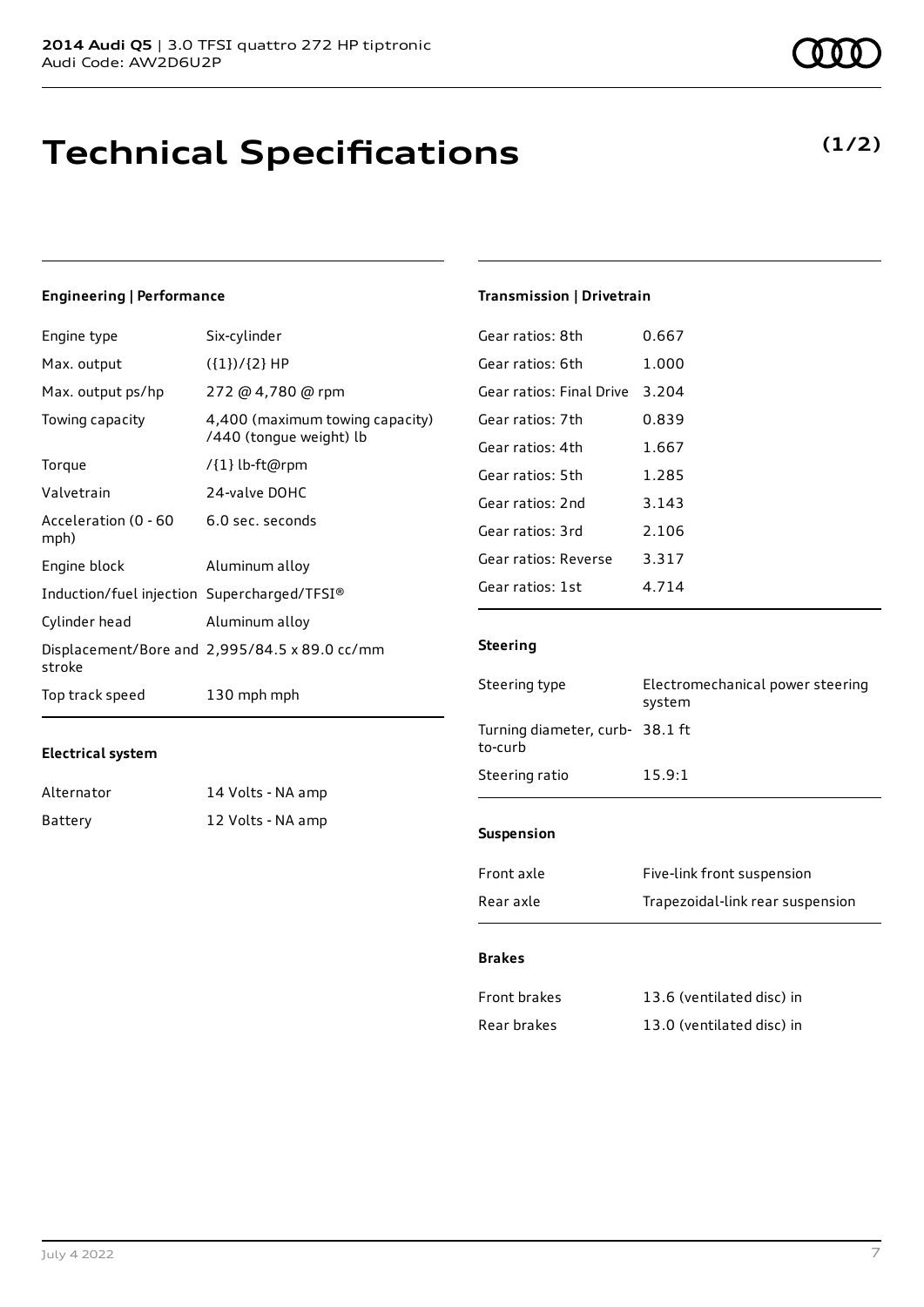### **Technical Specifications**

### **(1/2)**

### **Engineering | Performance**

| Engine type                                 | Six-cylinder                                               |
|---------------------------------------------|------------------------------------------------------------|
| Max. output                                 | $({1})/{2}$ HP                                             |
| Max. output ps/hp                           | 272 @ 4,780 @ rpm                                          |
| Towing capacity                             | 4,400 (maximum towing capacity)<br>/440 (tongue weight) lb |
| Torque                                      | /{1} lb-ft@rpm                                             |
| Valvetrain                                  | 24-valve DOHC                                              |
| Acceleration (0 - 60<br>mph)                | 6.0 sec. seconds                                           |
| Engine block                                | Aluminum alloy                                             |
| Induction/fuel injection Supercharged/TFSI® |                                                            |
| Cylinder head                               | Aluminum alloy                                             |
| stroke                                      | Displacement/Bore and 2,995/84.5 x 89.0 cc/mm              |
| Top track speed                             | 130 mph mph                                                |

### **Electrical system**

| Alternator | 14 Volts - NA amp |
|------------|-------------------|
| Battery    | 12 Volts - NA amp |

| Gear ratios: 8th         | 0.667 |
|--------------------------|-------|
| Gear ratios: 6th         | 1.000 |
| Gear ratios: Final Drive | 3.204 |
| Gear ratios: 7th         | 0.839 |
| Gear ratios: 4th         | 1.667 |
| Gear ratios: 5th         | 1.285 |
| Gear ratios: 2nd         | 3.143 |
| Gear ratios: 3rd         | 2.106 |
| Gear ratios: Reverse     | 3.317 |
| Gear ratios: 1st         | 4.714 |

**Transmission | Drivetrain**

#### **Steering**

| Steering type                             | Electromechanical power steering<br>system |
|-------------------------------------------|--------------------------------------------|
| Turning diameter, curb-38.1 ft<br>to-curb |                                            |
| Steering ratio                            | 15.9:1                                     |
| <b>Suspension</b>                         |                                            |

| Front axle | Five-link front suspension       |
|------------|----------------------------------|
| Rear axle  | Trapezoidal-link rear suspension |

### **Brakes**

| Front brakes | 13.6 (ventilated disc) in |
|--------------|---------------------------|
| Rear brakes  | 13.0 (ventilated disc) in |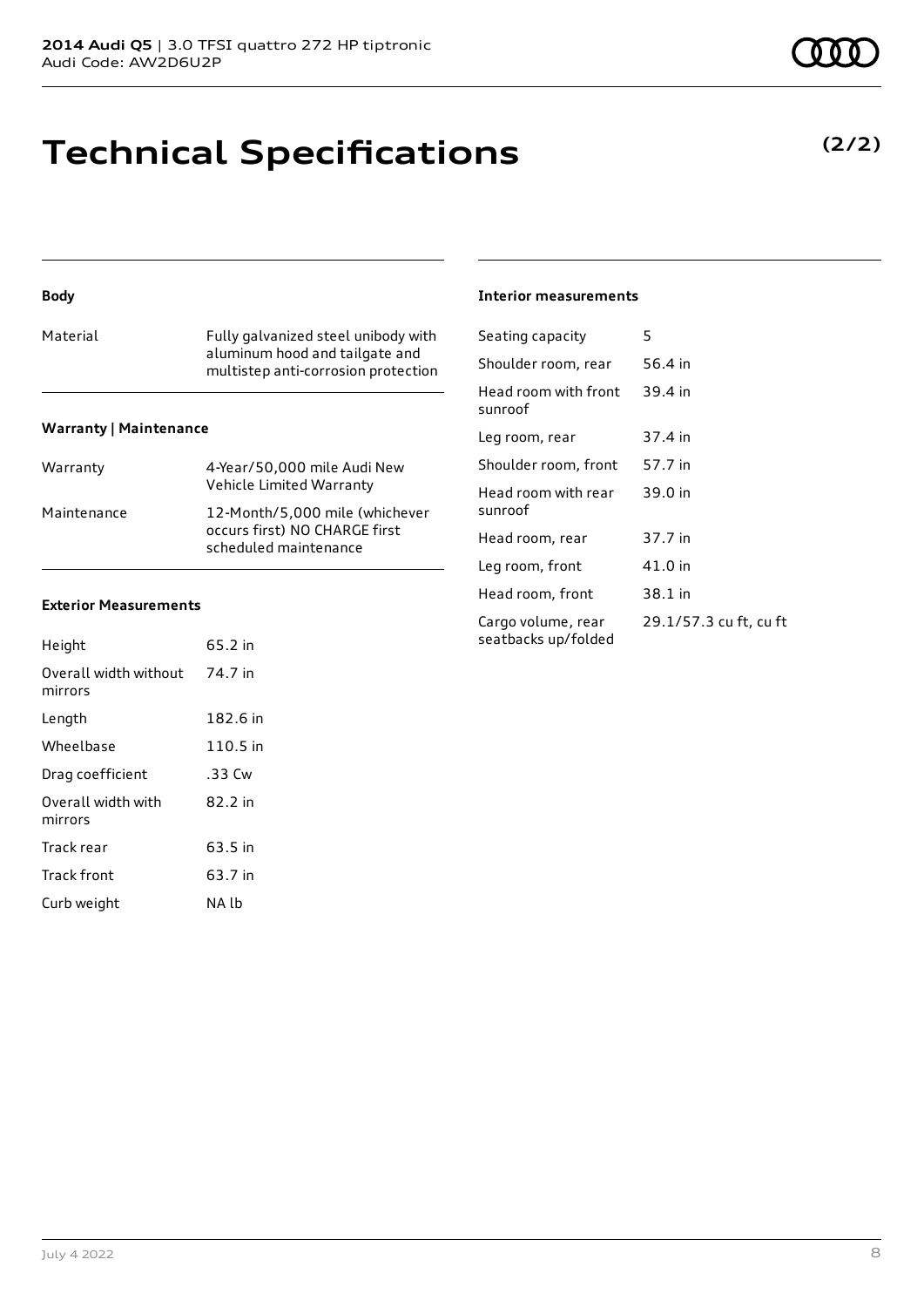### **Technical Specifications**

### **Body**

| Material | Fully galvanized steel unibody with<br>aluminum hood and tailgate and<br>multistep anti-corrosion protection |
|----------|--------------------------------------------------------------------------------------------------------------|
|          |                                                                                                              |

#### **Warranty | Maintenance**

| Warranty    | 4-Year/50,000 mile Audi New<br>Vehicle Limited Warranty                                  |
|-------------|------------------------------------------------------------------------------------------|
| Maintenance | 12-Month/5,000 mile (whichever<br>occurs first) NO CHARGE first<br>scheduled maintenance |

#### **Exterior Measurements**

| Height                           | 65.2 in  |
|----------------------------------|----------|
| Overall width without<br>mirrors | 74.7 in  |
| Length                           | 182.6 in |
| Wheelbase                        | 110.5 in |
| Drag coefficient                 | .33 Cw   |
| Overall width with<br>mirrors    | 82.2 in  |
| Track rear                       | 63.5 in  |
| Track front                      | 63.7 in  |
| Curb weight                      | NA lh    |

#### **Interior measurements**

| Seating capacity                          | 5                      |
|-------------------------------------------|------------------------|
| Shoulder room, rear                       | 56.4 in                |
| Head room with front<br>sunroof           | 39.4 in                |
| Leg room, rear                            | 37.4 in                |
| Shoulder room, front                      | 57.7 in                |
| Head room with rear<br>sunroof            | 39.0 in                |
| Head room, rear                           | 37.7 in                |
| Leg room, front                           | 41.0 in                |
| Head room, front                          | 38.1 in                |
| Cargo volume, rear<br>seatbacks up/folded | 29.1/57.3 cu ft, cu ft |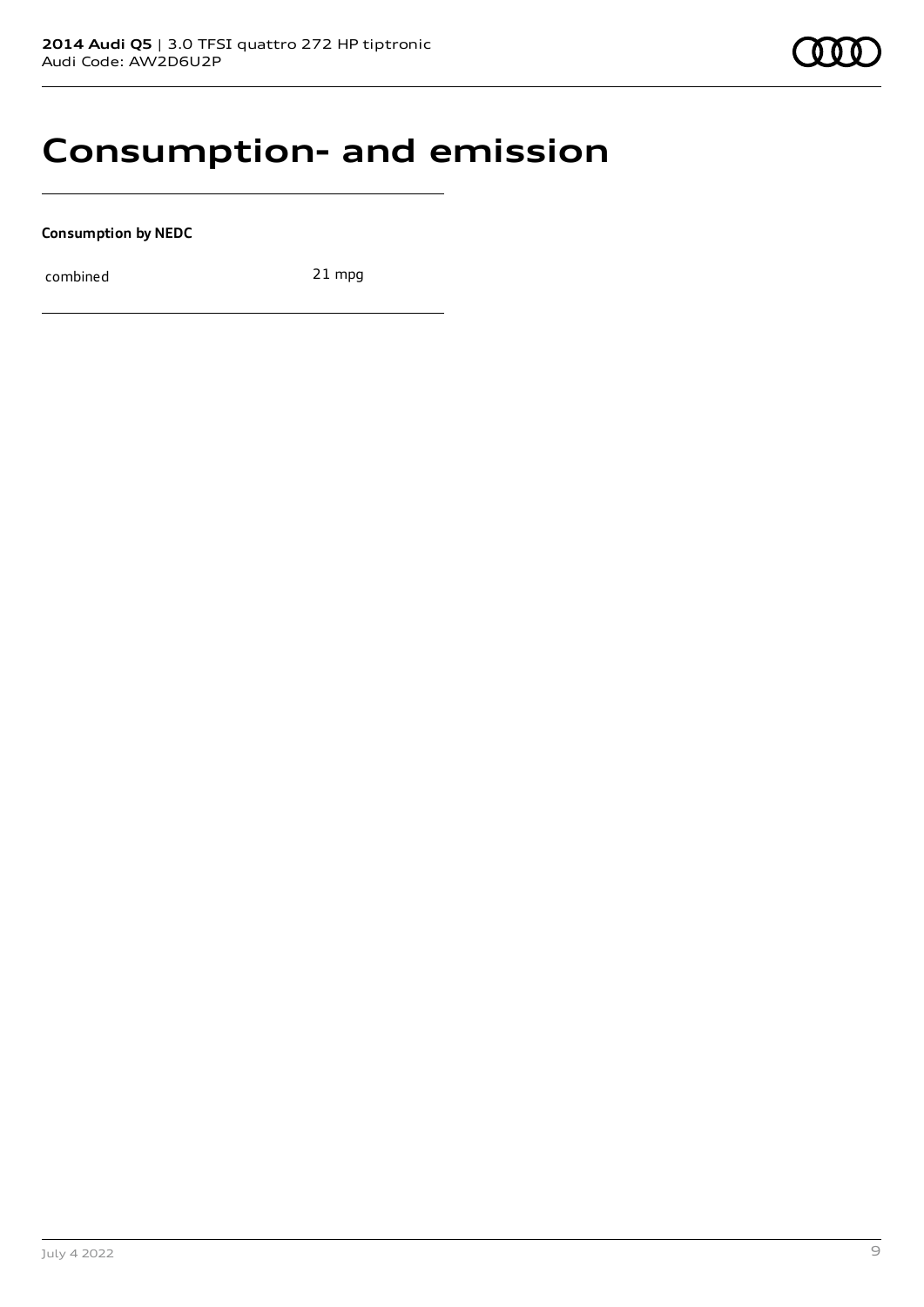### **Consumption- and emission**

**Consumption by NEDC**

combined 21 mpg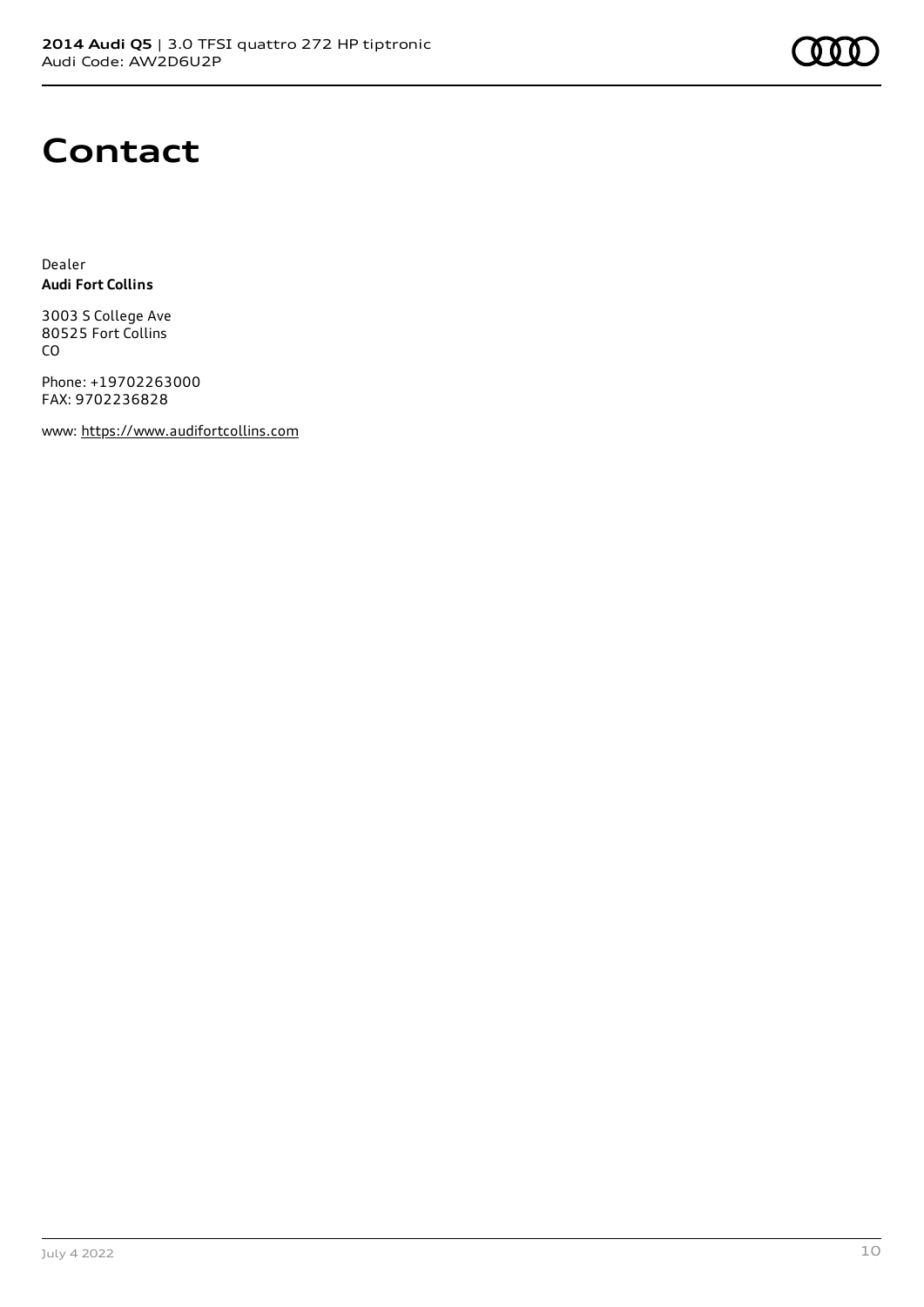

### **Contact**

Dealer **Audi Fort Collins**

3003 S College Ave 80525 Fort Collins CO

Phone: +19702263000 FAX: 9702236828

www: [https://www.audifortcollins.com](https://www.audifortcollins.com/)